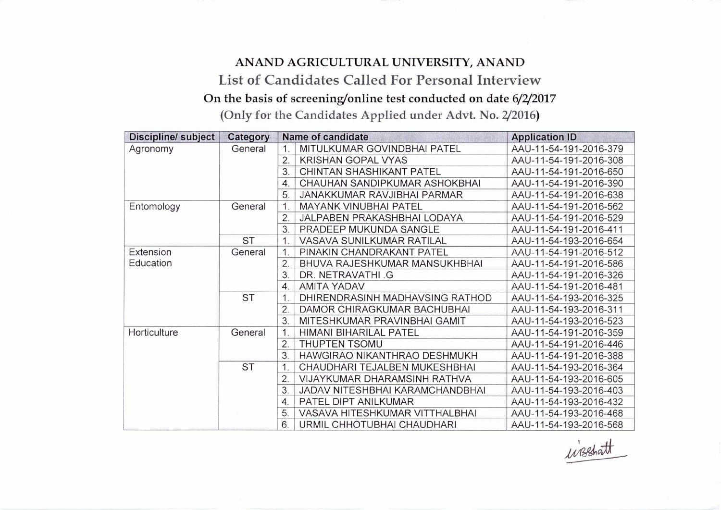## **ANAND AGRICULTURAL UNIVERSITY, ANAND List of Candidates Called For Personal Interview**  On the basis of screening/online test conducted on date 6/2/2017

(Only for the Candidates Applied under Advt. No. 2/2016)

| Discipline/ subject | Category  | Name of candidate |                                 | <b>Application ID</b>  |
|---------------------|-----------|-------------------|---------------------------------|------------------------|
| Agronomy            | General   | 1.                | MITULKUMAR GOVINDBHAI PATEL     | AAU-11-54-191-2016-379 |
|                     |           | 2.                | <b>KRISHAN GOPAL VYAS</b>       | AAU-11-54-191-2016-308 |
|                     |           | 3.                | CHINTAN SHASHIKANT PATEL        | AAU-11-54-191-2016-650 |
|                     |           | $\overline{4}$    | CHAUHAN SANDIPKUMAR ASHOKBHAI   | AAU-11-54-191-2016-390 |
|                     |           | 5                 | JANAKKUMAR RAVJIBHAI PARMAR     | AAU-11-54-191-2016-638 |
| Entomology          | General   | $\mathbf{1}$      | <b>MAYANK VINUBHAI PATEL</b>    | AAU-11-54-191-2016-562 |
|                     |           | 2.                | JALPABEN PRAKASHBHAI LODAYA     | AAU-11-54-191-2016-529 |
|                     |           | 3.                | PRADEEP MUKUNDA SANGLE          | AAU-11-54-191-2016-411 |
|                     | <b>ST</b> | $\mathbf 1$ .     | VASAVA SUNILKUMAR RATILAL       | AAU-11-54-193-2016-654 |
| Extension           | General   | 1.                | PINAKIN CHANDRAKANT PATEL       | AAU-11-54-191-2016-512 |
| Education           |           | 2.                | BHUVA RAJESHKUMAR MANSUKHBHAI   | AAU-11-54-191-2016-586 |
|                     |           | 3.                | DR. NETRAVATHI G                | AAU-11-54-191-2016-326 |
|                     |           | $\overline{4}$    | <b>AMITA YADAV</b>              | AAU-11-54-191-2016-481 |
|                     | <b>ST</b> |                   | DHIRENDRASINH MADHAVSING RATHOD | AAU-11-54-193-2016-325 |
|                     |           | 2.                | DAMOR CHIRAGKUMAR BACHUBHAI     | AAU-11-54-193-2016-311 |
|                     |           | 3.                | MITESHKUMAR PRAVINBHAI GAMIT    | AAU-11-54-193-2016-523 |
| Horticulture        | General   |                   | <b>HIMANI BIHARILAL PATEL</b>   | AAU-11-54-191-2016-359 |
|                     |           | 2.                | <b>THUPTEN TSOMU</b>            | AAU-11-54-191-2016-446 |
|                     |           | 3                 | HAWGIRAO NIKANTHRAO DESHMUKH    | AAU-11-54-191-2016-388 |
|                     | <b>ST</b> | $\mathbf{1}$ .    | CHAUDHARI TEJALBEN MUKESHBHAI   | AAU-11-54-193-2016-364 |
|                     |           | 2.                | VIJAYKUMAR DHARAMSINH RATHVA    | AAU-11-54-193-2016-605 |
|                     |           | 3.                | JADAV NITESHBHAI KARAMCHANDBHAI | AAU-11-54-193-2016-403 |
|                     |           | $\overline{4}$    | PATEL DIPT ANILKUMAR            | AAU-11-54-193-2016-432 |
|                     |           | 5.                | VASAVA HITESHKUMAR VITTHALBHAI  | AAU-11-54-193-2016-468 |
|                     |           | 6.                | URMIL CHHOTUBHAI CHAUDHARI      | AAU-11-54-193-2016-568 |

wisshatt